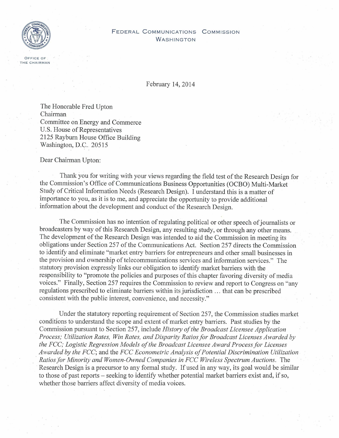

## ((//\ **FEDERAL COMMUNICATIONS COMMISSION WASHINGTON**

February 14, 2014

The Honorable Fred Upton Chairman Committee on Energy and Commerce U.S. House of Representatives 2125 Rayburn House Office Building Washington, D.C. 20515

Dear Chairman Upton:

Thank you for writing with your views regarding the field test of the Research Design for the Commission's Office of Communications Business Opportunities (OCBO) Multi-Market Study of Critical Information Needs (Research Design). I understand this is a matter of importance to you, as it is to me, and appreciate the opportunity to provide additional information about the development and conduct of the Research Design.

The Commission has no intention of regulating political or other speech of journalists or broadcasters by way of this Research Design, any resulting study, or through any other means. The development of the Research Design was intended to aid the Commission in meeting its obligations under Section *257* of the Communications Act. Section *257* directs the Commission to identify and eliminate "market entry barriers for entrepreneurs and other small businesses in the provision and ownership of telecommunications services and information services." The statutory provision expressly links our obligation to identify market barriers with the responsibility to "promote the policies and purposes of this chapter favoring diversity of media voices." Finally, Section *257* requires the Commission to review and report to Congress on "any regulations prescribed to eliminate barriers within its jurisdiction ... that can be prescribed consistent with the public interest, convenience, and necessity."

Under the statutory reporting requirement of Section *257,* the Commission studies market conditions to understand the scope and extent of market entry barriers. Past studies by the *Commission pursuant to Section 257,* include *History of the Broadcast Licensee Application Process; Utilization Rates, Win Rates, and Disparity Ratios for Broadcast Licenses Awarded by the FCC; Logistic Regression Models of the Broadcast Licensee Award Process for Licenses Awarded by the FCC;* and the *FCC Econometric Analysis of Potential Discrimination Utilization Ratios for Minority and Women-Owned Companies in FCC Wireless Spectrum Auctions.* The Research Design is a precursor to any formal study. If used in any way, its goal would be similar to those of past reports - seeking to identify whether potential market barriers exist and, if so, whether those barriers affect diversity of media voices.